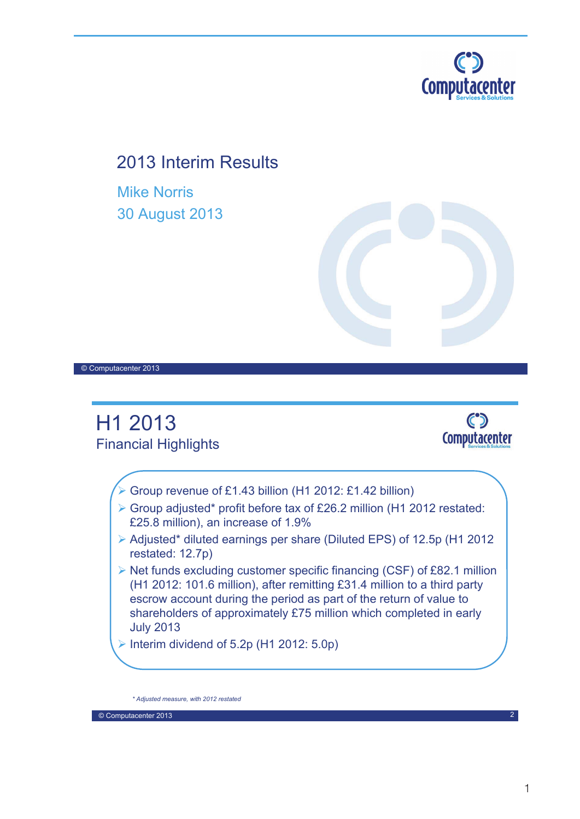

## 2013 Interim Results

Mike Norris 30 August 2013



© Computacenter 2013



Interim dividend of  $5.2p$  (H1 2012:  $5.0p$ )

*\* Adjusted measure, with 2012 restated*

© Computacenter 2013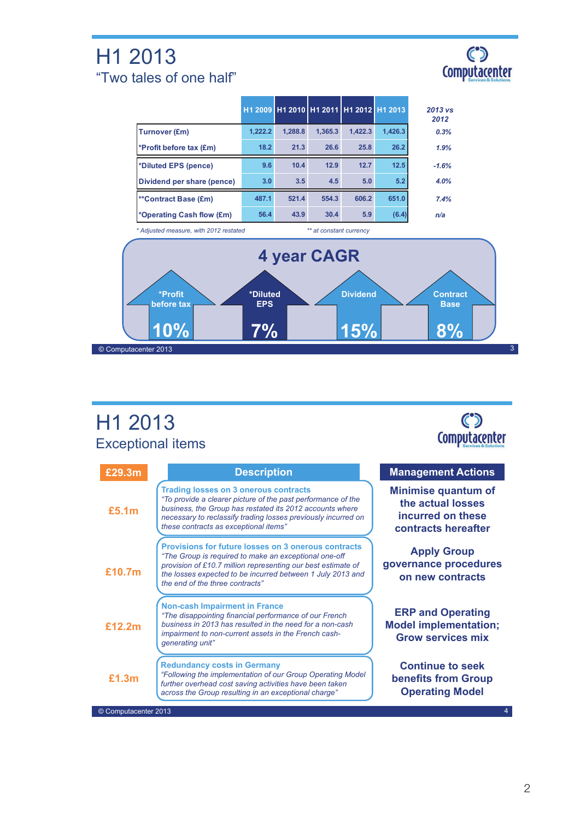## H1 2013 "Two tales of one half"



|                                        |         | H1 2009 H1 2010 H1 2011 H1 2012 H1 2013 |                         |         |         | $2013$ vs<br>2012 |
|----------------------------------------|---------|-----------------------------------------|-------------------------|---------|---------|-------------------|
| <b>Turnover (£m)</b>                   | 1,222.2 | 1,288.8                                 | 1,365.3                 | 1,422.3 | 1,426.3 | 0.3%              |
| *Profit before tax (£m)                | 18.2    | 21.3                                    | 26.6                    | 25.8    | 26.2    | 1.9%              |
| *Diluted EPS (pence)                   | 9.6     | 10.4                                    | 12.9                    | 12.7    | 12.5    | $-1.6%$           |
| Dividend per share (pence)             | 3.0     | 3.5                                     | 4.5                     | 5.0     | 5.2     | 4.0%              |
| <b>**Contract Base (£m)</b>            | 487.1   | 521.4                                   | 554.3                   | 606.2   | 651.0   | 7.4%              |
| *Operating Cash flow (£m)              | 56.4    | 43.9                                    | 30.4                    | 5.9     | (6.4)   | n/a               |
| * Adjusted measure, with 2012 restated |         |                                         | ** at constant currency |         |         |                   |
|                                        |         |                                         | 4 year CAGR             |         |         |                   |

H1 2013 Exceptional items

© Computacenter 2013



| £29.3m               | <b>Description</b>                                                                                                                                                                                                                                                                   | <b>Management Actions</b>                                                                   |
|----------------------|--------------------------------------------------------------------------------------------------------------------------------------------------------------------------------------------------------------------------------------------------------------------------------------|---------------------------------------------------------------------------------------------|
| £5.1m                | <b>Trading losses on 3 onerous contracts</b><br>"To provide a clearer picture of the past performance of the<br>business, the Group has restated its 2012 accounts where<br>necessary to reclassify trading losses previously incurred on<br>these contracts as exceptional items"   | <b>Minimise quantum of</b><br>the actual losses<br>incurred on these<br>contracts hereafter |
| £10.7m               | <b>Provisions for future losses on 3 onerous contracts</b><br>"The Group is required to make an exceptional one-off<br>provision of £10.7 million representing our best estimate of<br>the losses expected to be incurred between 1 July 2013 and<br>the end of the three contracts" | <b>Apply Group</b><br>governance procedures<br>on new contracts                             |
| £12.2m               | <b>Non-cash Impairment in France</b><br>"The disappointing financial performance of our French<br>business in 2013 has resulted in the need for a non-cash<br>impairment to non-current assets in the French cash-<br>generating unit"                                               | <b>ERP and Operating</b><br><b>Model implementation;</b><br><b>Grow services mix</b>        |
| £1.3m                | <b>Redundancy costs in Germany</b><br>"Following the implementation of our Group Operating Model<br>further overhead cost saving activities have been taken<br>across the Group resulting in an exceptional charge"                                                                  | <b>Continue to seek</b><br><b>benefits from Group</b><br><b>Operating Model</b>             |
| © Computacenter 2013 |                                                                                                                                                                                                                                                                                      |                                                                                             |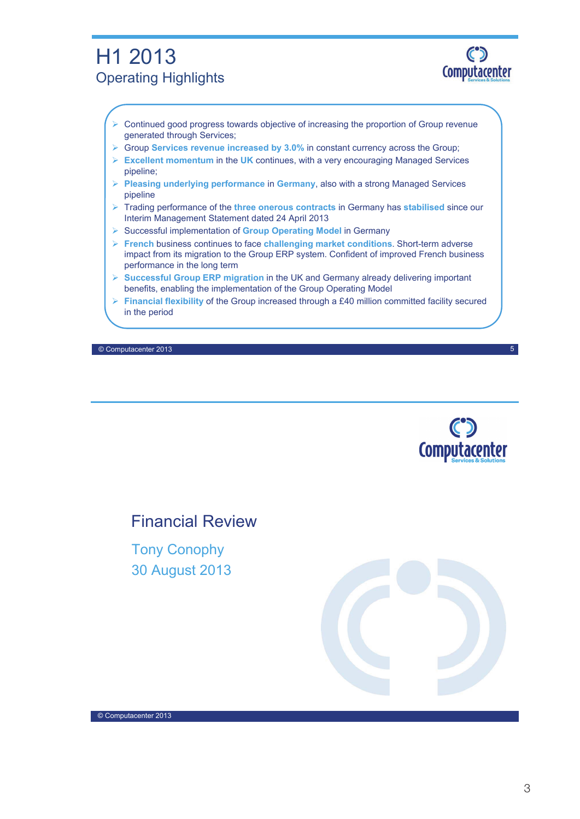### H1 2013 Operating Highlights



- $\triangleright$  Continued good progress towards objective of increasing the proportion of Group revenue generated through Services;
- Group **Services revenue increased by 3.0%** in constant currency across the Group;
- **Excellent momentum** in the **UK** continues, with a very encouraging Managed Services pipeline;
- **Pleasing underlying performance** in **Germany**, also with a strong Managed Services pipeline
- Trading performance of the **three onerous contracts** in Germany has **stabilised** since our Interim Management Statement dated 24 April 2013
- Successful implementation of **Group Operating Model** in Germany
- **French** business continues to face **challenging market conditions**. Short-term adverse impact from its migration to the Group ERP system. Confident of improved French business performance in the long term
- **Successful Group ERP migration** in the UK and Germany already delivering important benefits, enabling the implementation of the Group Operating Model
- **Financial flexibility** of the Group increased through a £40 million committed facility secured in the period

© Computacenter 2013



5

Financial Review

Tony Conophy 30 August 2013

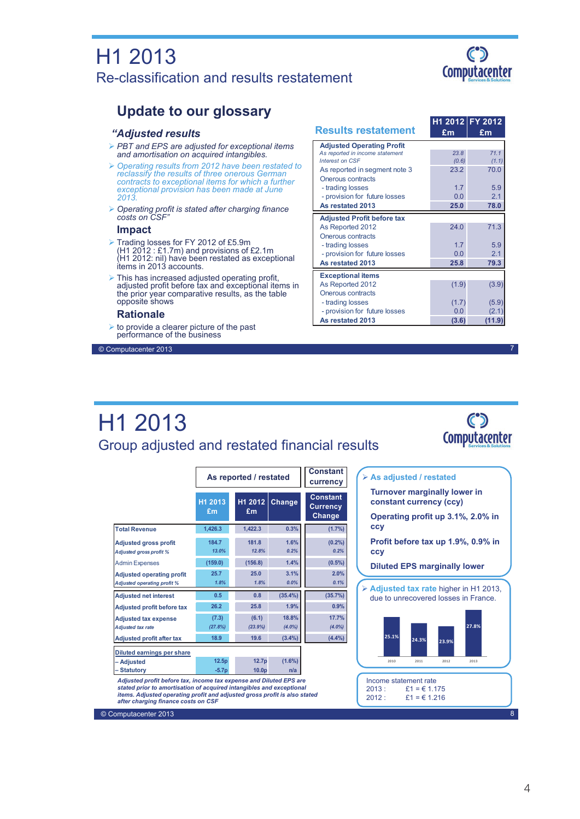### H1 2013 Re-classification and results restatement



### **Update to our glossary**

#### *"Adjusted results*

- *PBT and EPS are adjusted for exceptional items and amortisation on acquired intangibles.*
- *Operating results from 2012 have been restated to reclassify the results of three onerous German contracts to exceptional items for which a further exceptional provision has been made at June 2013.*
- *Operating profit is stated after charging finance costs on CSF"*

#### **Impact**

- Trading losses for FY 2012 of £5.9m (H1 2012 : £1.7m) and provisions of £2.1m (H1 2012: nil) have been restated as exceptional items in 2013 accounts.
- $\triangleright$  This has increased adjusted operating profit, adjusted profit before tax and exceptional items in the prior year comparative results, as the table opposite shows

#### **Rationale**

 $\triangleright$  to provide a clearer picture of the past performance of the business

© Computacenter 2013

| <b>Results restatement</b>        | £m    | H1 2012 FY 2012<br>£m |
|-----------------------------------|-------|-----------------------|
| <b>Adjusted Operating Profit</b>  |       |                       |
| As reported in income statement   | 23.8  | 71.1                  |
| Interest on CSF                   | (0.6) | (1.1)                 |
| As reported in segment note 3     | 23.2  | 70.0                  |
| Onerous contracts                 |       |                       |
| - trading losses                  | 17    | 59                    |
| - provision for future losses     | 0.0   | 21                    |
| As restated 2013                  | 25.0  | 78.0                  |
| <b>Adjusted Profit before tax</b> |       |                       |
| As Reported 2012                  | 24.0  | 71.3                  |
| Onerous contracts                 |       |                       |
| - trading losses                  | 17    | 5.9                   |
| - provision for future losses     | 0.0   | 21                    |
| As restated 2013                  | 25.8  | 79.3                  |
| <b>Exceptional items</b>          |       |                       |
| As Reported 2012                  | (1.9) | (3.9)                 |
| Onerous contracts                 |       |                       |
| - trading losses                  | (1.7) | (5.9)                 |
| - provision for future losses     | 0.0   | (2.1)                 |
| As restated 2013                  | (3.6) | (11.9                 |

**As adjusted / restated**

### H1 2013 Group adjusted and restated financial results



7

|                                                                        | As reported / restated | <b>Constant</b><br>currency |                   |                    |                                              |  |  |
|------------------------------------------------------------------------|------------------------|-----------------------------|-------------------|--------------------|----------------------------------------------|--|--|
|                                                                        | H1 2013<br>£m          |                             | H1 2012<br>£m     | Change             | <b>Constant</b><br><b>Currency</b><br>Change |  |  |
| <b>Total Revenue</b>                                                   | 1,426.3                |                             | 1,422.3           | 0.3%               | (1.7%)                                       |  |  |
| <b>Adjusted gross profit</b><br><b>Adjusted gross profit %</b>         | 184.7<br>13.0%         |                             | 181.8<br>12.8%    | 1.6%<br>0.2%       | (0.2%<br>0.2%                                |  |  |
| <b>Admin Expenses</b>                                                  | (159.0)                |                             | (156.8)           | 1.4%               | $(0.5\%)$                                    |  |  |
| <b>Adjusted operating profit</b><br><b>Adjusted operating profit %</b> | 25.7<br>1.8%           |                             | 25.0<br>1.8%      | 3.1%<br>0.0%       | 2.0%<br>0.1%                                 |  |  |
| <b>Adjusted net interest</b>                                           | 0.5                    |                             | 0.8               | $(35.4\%)$         | (35.7%)                                      |  |  |
| <b>Adjusted profit before tax</b>                                      | 26.2                   |                             | 25.8              | 1.9%               | 0.9%                                         |  |  |
| <b>Adjusted tax expense</b><br><b>Adjusted tax rate</b>                | (7.3)<br>(27.8%)       |                             | (6.1)<br>(23.9%)  | 18.8%<br>$(4.0\%)$ | 17.7%<br>$(4.0\%)$                           |  |  |
| <b>Adjusted profit after tax</b>                                       | 18.9                   |                             | 19.6              | (3.4%)             | (4.4%)                                       |  |  |
| Diluted earnings per share                                             |                        |                             |                   |                    |                                              |  |  |
| – Adjusted                                                             | 12.5p                  |                             | 12.7p             | $(1.6\%)$          |                                              |  |  |
| - Statutory                                                            | $-5.7p$                |                             | 10.0 <sub>p</sub> | n/a                |                                              |  |  |

*Adjusted profit before tax, income tax expense and Diluted EPS are stated prior to amortisation of acquired intangibles and exceptional items. Adjusted operating profit and adjusted gross profit is also stated after charging finance costs on CSF*

|                                                                                               | <b>Turnover marginally lower in</b><br>constant currency (ccy) |       |       |  |  |  |  |
|-----------------------------------------------------------------------------------------------|----------------------------------------------------------------|-------|-------|--|--|--|--|
| <b>CCV</b>                                                                                    | Operating profit up 3.1%, 2.0% in                              |       |       |  |  |  |  |
| Profit before tax up 1.9%, 0.9% in<br><b>CCV</b>                                              |                                                                |       |       |  |  |  |  |
| <b>Diluted EPS marginally lower</b>                                                           |                                                                |       |       |  |  |  |  |
| $\triangleright$ Adjusted tax rate higher in H1 2013.<br>due to unrecovered losses in France. |                                                                |       |       |  |  |  |  |
| 25.1%                                                                                         | 24.3%                                                          | 23.9% | 27.8% |  |  |  |  |
| 2010                                                                                          | 2011                                                           | 2012  | 2013  |  |  |  |  |
|                                                                                               |                                                                |       |       |  |  |  |  |
| Income statement rate<br>2013:<br>2012:                                                       | $£1 = £1.175$<br>$f1 = 61216$                                  |       |       |  |  |  |  |

© Computacenter 2013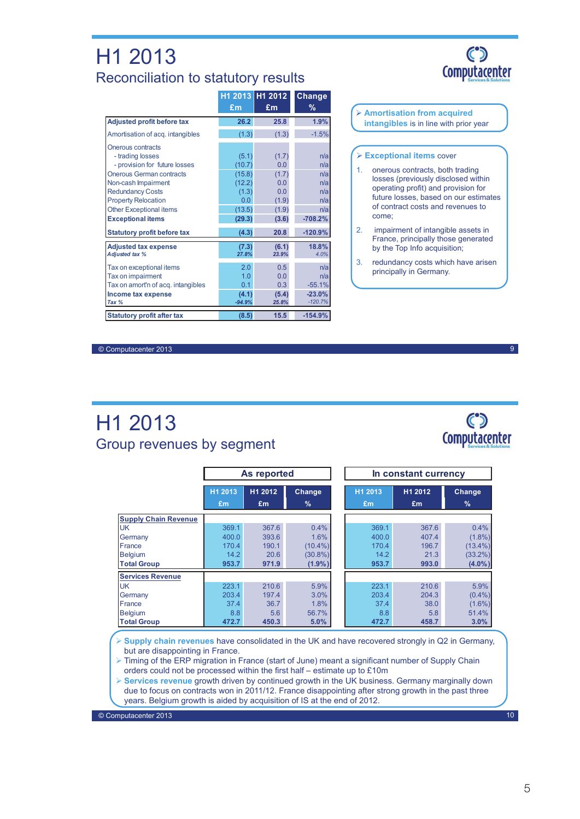### H1 2013 Reconciliation to statutory results

|                                    |          | H1 2013 H1 2012 | Change    |
|------------------------------------|----------|-----------------|-----------|
|                                    | £m       | £m              | %         |
| <b>Adjusted profit before tax</b>  | 26.2     | 25.8            | 1.9%      |
| Amortisation of acq. intangibles   | (1.3)    | (1.3)           | $-1.5%$   |
| Onerous contracts                  |          |                 |           |
| - trading losses                   | (5.1)    | (1.7)           | n/a       |
| - provision for future losses      | (10.7)   | 0.0             | n/a       |
| <b>Onerous German contracts</b>    | (15.8)   | (1.7)           | n/a       |
| Non-cash Impairment                | (12.2)   | 0.0             | n/a       |
| <b>Redundancy Costs</b>            | (1.3)    | 0.0             | n/a       |
| <b>Property Relocation</b>         | 0.0      | (1.9)           | n/a       |
| <b>Other Exceptional items</b>     | (13.5)   | (1.9)           | n/a       |
| <b>Exceptional items</b>           | (29.3)   | (3.6)           | $-708.2%$ |
| <b>Statutory profit before tax</b> | (4.3)    | 20.8            | $-120.9%$ |
| <b>Adjusted tax expense</b>        | (7.3)    | (6.1)           | 18.8%     |
| <b>Adjusted tax %</b>              | 27.8%    | 23.9%           | 4.0%      |
| Tax on exceptional items           | 2.0      | 0.5             | n/a       |
| Tax on impairment                  | 1.0      | 0.0             | n/a       |
| Tax on amort'n of acq. intangibles | 0.1      | 0.3             | $-55.1%$  |
| Income tax expense                 | (4.1)    | (5.4)           | $-23.0%$  |
| Tax %                              | $-94.9%$ | 25.8%           | $-120.7%$ |
| <b>Statutory profit after tax</b>  | (8.5)    | 15.5            | $-154.9%$ |

# $\mathbf C$ **Computacenter**

 **Amortisation from acquired intangibles** is in line with prior year

#### **Exceptional items** cover

- 1. onerous contracts, both trading losses (previously disclosed within operating profit) and provision for future losses, based on our estimates of contract costs and revenues to come;
- 2. impairment of intangible assets in France, principally those generated by the Top Info acquisition;
- 3. redundancy costs which have arisen principally in Germany.

© Computacenter 2013

### H1 2013 Group revenues by segment



9

|                             | As reported   |               |             |               | In constant currency |                |
|-----------------------------|---------------|---------------|-------------|---------------|----------------------|----------------|
|                             | H1 2013<br>Em | H1 2012<br>£m | Change<br>% | H1 2013<br>Em | H1 2012<br>£m        | Change<br>$\%$ |
| <b>Supply Chain Revenue</b> |               |               |             |               |                      |                |
| UK                          | 369.1         | 367.6         | 0.4%        | 369.1         | 367.6                | 0.4%           |
| Germany                     | 400.0         | 393.6         | 1.6%        | 400.0         | 407.4                | $(1.8\%)$      |
| France                      | 170.4         | 190.1         | $(10.4\%)$  | 170.4         | 196.7                | $(13.4\%)$     |
| <b>Belgium</b>              | 14.2          | 20.6          | $(30.8\%)$  | 14.2          | 21.3                 | $(33.2\%)$     |
| <b>Total Group</b>          | 953.7         | 971.9         | $(1.9\%)$   | 953.7         | 993.0                | $(4.0\%)$      |
| <b>Services Revenue</b>     |               |               |             |               |                      |                |
| <b>UK</b>                   | 223.1         | 210.6         | 5.9%        | 223.1         | 210.6                | 5.9%           |
| Germany                     | 203.4         | 197.4         | 3.0%        | 203.4         | 204.3                | $(0.4\%)$      |
| France                      | 37.4          | 36.7          | 1.8%        | 37.4          | 38.0                 | $(1.6\%)$      |
| <b>Belgium</b>              | 8.8           | 5.6           | 56.7%       | 8.8           | 5.8                  | 51.4%          |
| <b>Total Group</b>          | 472.7         | 450.3         | 5.0%        | 472.7         | 458.7                | 3.0%           |

 **Supply chain revenues** have consolidated in the UK and have recovered strongly in Q2 in Germany, but are disappointing in France.

> Timing of the ERP migration in France (start of June) meant a significant number of Supply Chain orders could not be processed within the first half – estimate up to £10m

 **Services revenue** growth driven by continued growth in the UK business. Germany marginally down due to focus on contracts won in 2011/12. France disappointing after strong growth in the past three years. Belgium growth is aided by acquisition of IS at the end of 2012.

© Computacenter 2013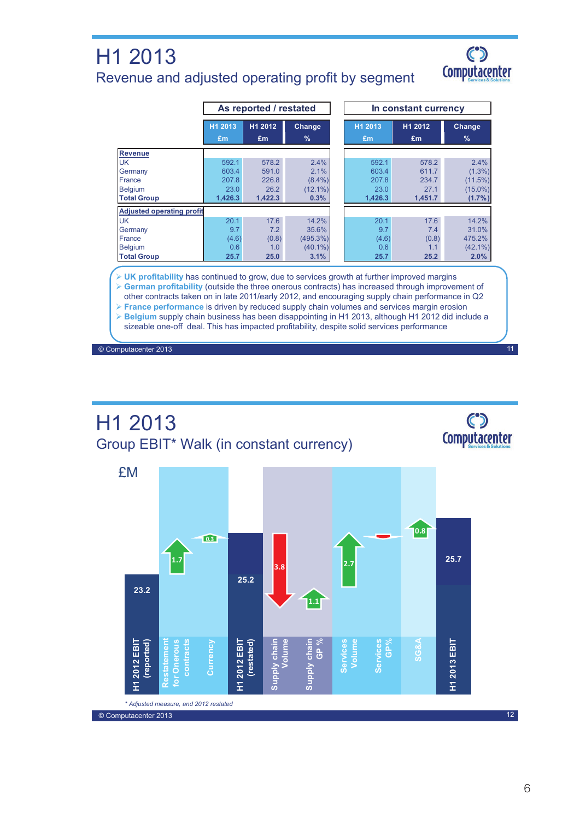### H1 2013 Revenue and adjusted operating profit by segment



11

|                                  | As reported / restated |               |                         |  |               | In constant currency |                         |
|----------------------------------|------------------------|---------------|-------------------------|--|---------------|----------------------|-------------------------|
|                                  | H1 2013<br>Em          | H1 2012<br>£m | Change<br>$\frac{9}{6}$ |  | H1 2013<br>£m | H1 2012<br>£m        | Change<br>$\frac{9}{6}$ |
| <b>Revenue</b>                   |                        |               |                         |  |               |                      |                         |
| <b>UK</b>                        | 592.1                  | 578.2         | 2.4%                    |  | 592.1         | 578.2                | 2.4%                    |
| Germany                          | 603.4                  | 591.0         | 2.1%                    |  | 603.4         | 611.7                | $(1.3\%)$               |
| France                           | 207.8                  | 226.8         | $(8.4\%)$               |  | 207.8         | 234.7                | (11.5%)                 |
| <b>Belgium</b>                   | 23.0                   | 26.2          | $(12.1\%)$              |  | 23.0          | 27.1                 | $(15.0\%)$              |
| <b>Total Group</b>               | 1.426.3                | 1.422.3       | 0.3%                    |  | 1,426.3       | 1.451.7              | (1.7%                   |
| <b>Adjusted operating profit</b> |                        |               |                         |  |               |                      |                         |
| <b>UK</b>                        | 20.1                   | 17.6          | 14.2%                   |  | 20.1          | 17.6                 | 14.2%                   |
| Germany                          | 9.7                    | 7.2           | 35.6%                   |  | 9.7           | 7.4                  | 31.0%                   |
| France                           | (4.6)                  | (0.8)         | (495.3%)                |  | (4.6)         | (0.8)                | 475.2%                  |
| <b>Belgium</b>                   | 0.6                    | 1.0           | $(40.1\%)$              |  | 0.6           | 1.1                  | $(42.1\%)$              |
| <b>Total Group</b>               | 25.7                   | 25.0          | 3.1%                    |  | 25.7          | 25.2                 | 2.0%                    |

 **UK profitability** has continued to grow, due to services growth at further improved margins **German profitability** (outside the three onerous contracts) has increased through improvement of

other contracts taken on in late 2011/early 2012, and encouraging supply chain performance in Q2 **France performance** is driven by reduced supply chain volumes and services margin erosion

**Belgium** supply chain business has been disappointing in H1 2013, although H1 2012 did include a

sizeable one-off deal. This has impacted profitability, despite solid services performance

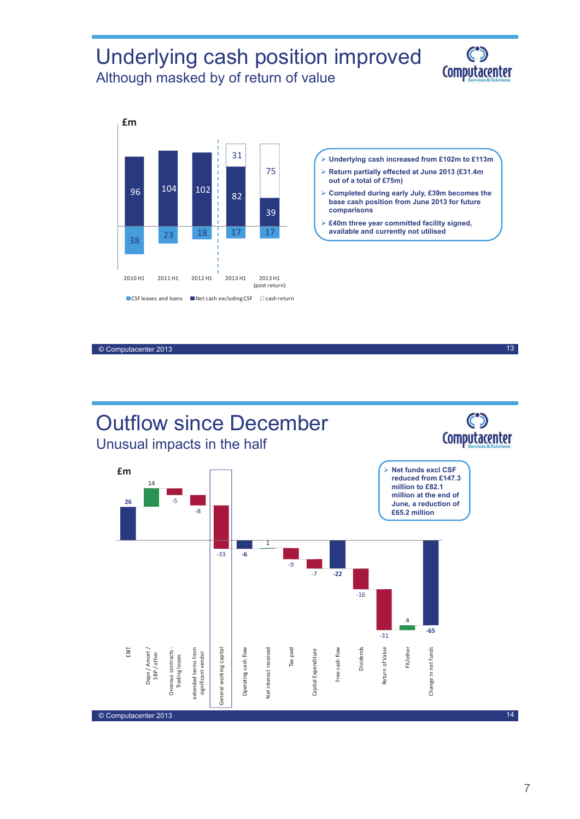### Underlying cash position improved Although masked by of return of value

(post return)





2010 H1 2011 H1 2012 H1 2013 H1 2013 H1

 $\blacksquare$  CSF leases and loans  $\blacksquare$  Net cash excluding CSF  $\blacksquare$  cash return

- **Underlying cash increased from £102m to £113m**
- **Return partially effected at June 2013 (£31.4m out of a total of £75m)**
- **Completed during early July, £39m becomes the base cash position from June 2013 for future comparisons**
- **£40m three year committed facility signed, available and currently not utilised**

© Computacenter 2013

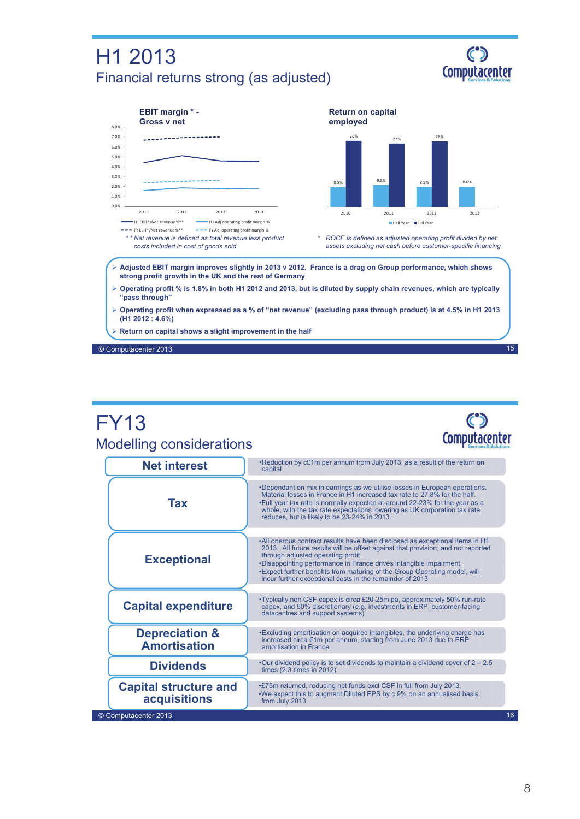## H1 2013 Financial returns strong (as adjusted)





### FY13 Modelling considerations



| <b>Net interest</b>                              | •Reduction by c£1m per annum from July 2013, as a result of the return on<br>capital                                                                                                                                                                                                                                                                                                                                 |    |
|--------------------------------------------------|----------------------------------------------------------------------------------------------------------------------------------------------------------------------------------------------------------------------------------------------------------------------------------------------------------------------------------------------------------------------------------------------------------------------|----|
| <b>Tax</b>                                       | •Dependant on mix in earnings as we utilise losses in European operations.<br>Material losses in France in H1 increased tax rate to 27.8% for the half.<br>. Full year tax rate is normally expected at around 22-23% for the year as a<br>whole, with the tax rate expectations lowering as UK corporation tax rate<br>reduces, but is likely to be 23-24% in 2013.                                                 |    |
| <b>Exceptional</b>                               | •All onerous contract results have been disclosed as exceptional items in H1<br>2013. All future results will be offset against that provision, and not reported<br>through adjusted operating profit<br>•Disappointing performance in France drives intangible impairment<br>• Expect further benefits from maturing of the Group Operating model, will<br>incur further exceptional costs in the remainder of 2013 |    |
| <b>Capital expenditure</b>                       | •Typically non CSF capex is circa £20-25m pa, approximately 50% run-rate<br>capex, and 50% discretionary (e.g. investments in ERP, customer-facing<br>datacentres and support systems)                                                                                                                                                                                                                               |    |
| <b>Depreciation &amp;</b><br><b>Amortisation</b> | • Excluding amortisation on acquired intangibles, the underlying charge has<br>increased circa €1m per annum, starting from June 2013 due to ERP<br>amortisation in France                                                                                                                                                                                                                                           |    |
| <b>Dividends</b>                                 | •Our dividend policy is to set dividends to maintain a dividend cover of $2 - 2.5$<br>times $(2.3 \times \text{times in } 2012)$                                                                                                                                                                                                                                                                                     |    |
| <b>Capital structure and</b><br>acquisitions     | .£75m returned, reducing net funds excl CSF in full from July 2013.<br>. We expect this to augment Diluted EPS by c 9% on an annualised basis<br>from July 2013                                                                                                                                                                                                                                                      |    |
| © Computacenter 2013                             |                                                                                                                                                                                                                                                                                                                                                                                                                      | 16 |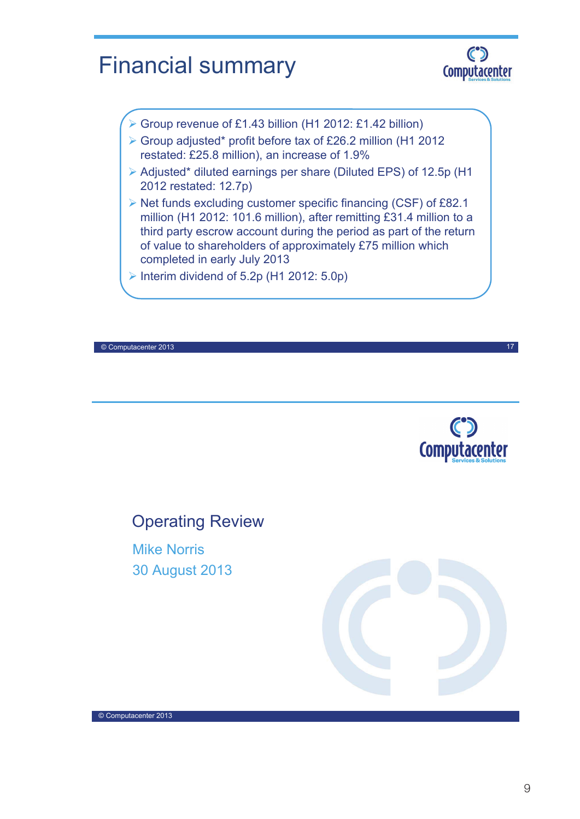# Financial summary



- Group revenue of £1.43 billion (H1 2012: £1.42 billion)
- Group adjusted\* profit before tax of £26.2 million (H1 2012 restated: £25.8 million), an increase of 1.9%
- Adjusted\* diluted earnings per share (Diluted EPS) of 12.5p (H1 2012 restated: 12.7p)
- $\triangleright$  Net funds excluding customer specific financing (CSF) of £82.1 million (H1 2012: 101.6 million), after remitting £31.4 million to a third party escrow account during the period as part of the return of value to shareholders of approximately £75 million which completed in early July 2013
- Interim dividend of  $5.2p$  (H1 2012:  $5.0p$ )

© Computacenter 2013



17

### Operating Review

Mike Norris 30 August 2013

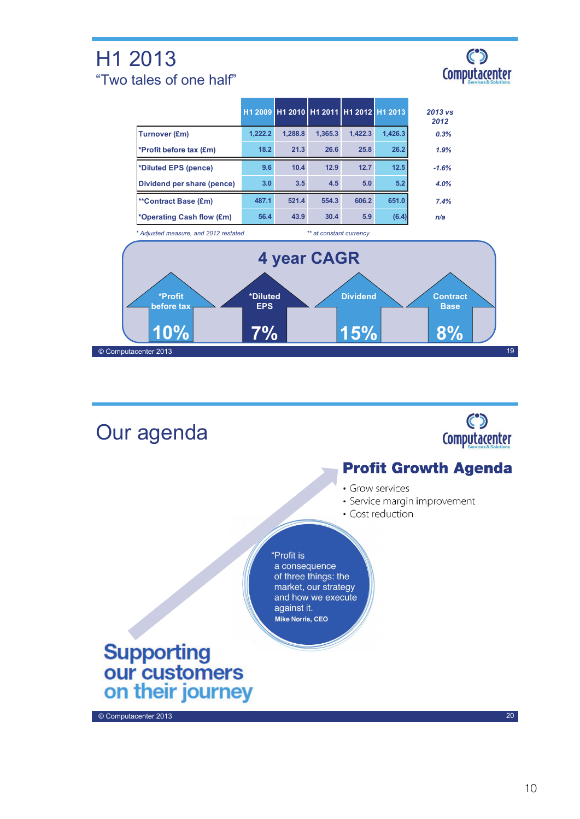## H1 2013 "Two tales of one half"



|                                       |                                 | H1 2009 H1 2010 H1 2011 H1 2012 H1 2013 |                         |                               |         | $2013$ vs<br>2012                    |    |
|---------------------------------------|---------------------------------|-----------------------------------------|-------------------------|-------------------------------|---------|--------------------------------------|----|
| <b>Turnover (£m)</b>                  | 1,222.2                         | 1,288.8                                 | 1,365.3                 | 1,422.3                       | 1,426.3 | 0.3%                                 |    |
| *Profit before tax (£m)               | 18.2                            | 21.3                                    | 26.6                    | 25.8                          | 26.2    | 1.9%                                 |    |
| *Diluted EPS (pence)                  | 9.6                             | 10.4                                    | 12.9                    | 12.7                          | 12.5    | $-1.6%$                              |    |
| Dividend per share (pence)            | 3.0                             | 3.5                                     | 4.5                     | 5.0                           | 5.2     | 4.0%                                 |    |
| **Contract Base (£m)                  | 487.1                           | 521.4                                   | 554.3                   | 606.2                         | 651.0   | 7.4%                                 |    |
| *Operating Cash flow (£m)             | 56.4                            | 43.9                                    | 30.4                    | 5.9                           | (6.4)   | n/a                                  |    |
| * Adjusted measure, and 2012 restated |                                 |                                         | ** at constant currency |                               |         |                                      |    |
| 4 year CAGR                           |                                 |                                         |                         |                               |         |                                      |    |
| *Profit<br>before tax<br>10%          | *Diluted<br><b>EPS</b><br>$7\%$ |                                         |                         | <b>Dividend</b><br><b>15%</b> |         | <b>Contract</b><br><b>Base</b><br>8% |    |
| © Computacenter 2013                  |                                 |                                         |                         |                               |         |                                      | 19 |

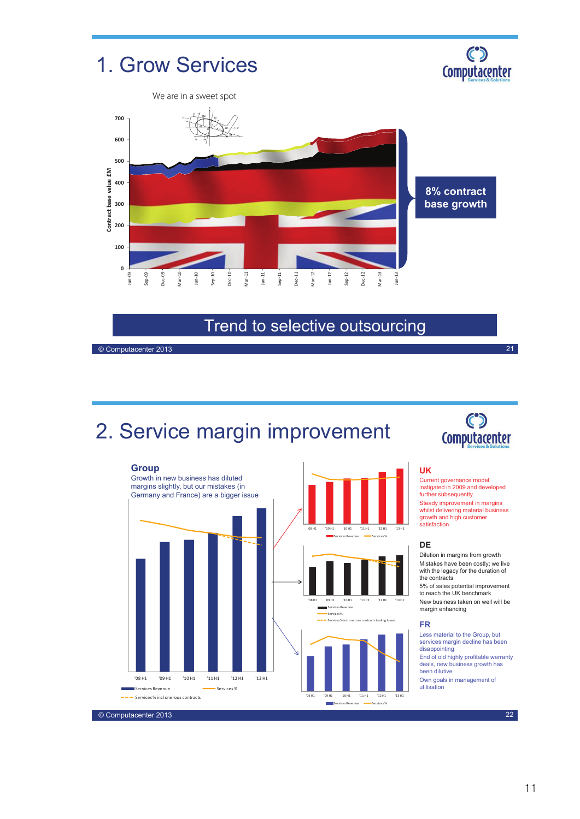

### Trend to selective outsourcing

© Computacenter 2013

# 2. Service margin improvement



### $\mathbf C$ **Computacenter**

21

#### 25.0% **UK**

Steady improvement in margins instigated in 2009 and developed<br>further subsequently Current governance model whilst delivering material business growth and high customer satisfaction

#### 25.0% **DE**

the contracts 15.0% Mistakes have been costly; we live with the legacy for the duration of Dilution in margins from growth

5% of sales potential improvement to reach the UK benchmark New business taken on well will be margin enhancing

#### **FR**

deals, new business growth has End of old highly profitable warranty services margin decline has been Less material to the Group, but disappointing been dilutive Own goals in management of utilisation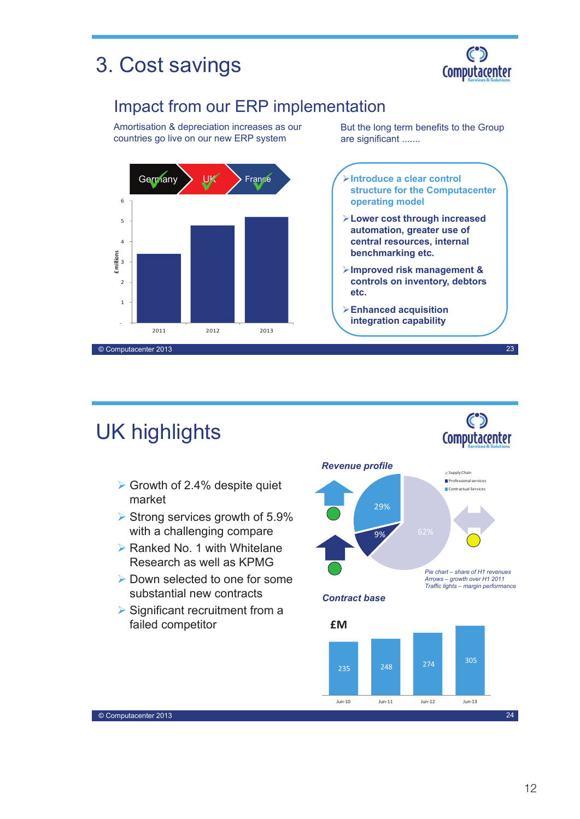# 3. Cost savings



### Impact from our ERP implementation

Amortisation & depreciation increases as our countries go live on our new ERP system



But the long term benefits to the Group are significant .......

**Introduce a clear control structure for the Computacenter operating model**

- **Lower cost through increased automation, greater use of central resources, internal benchmarking etc.**
- **Improved risk management & controls on inventory, debtors etc.**
- **Enhanced acquisition integration capability**

23

 $\mathbf{C}$ Computacenter

# UK highlights

- $\triangleright$  Growth of 2.4% despite quiet market
- $\triangleright$  Strong services growth of 5.9% with a challenging compare
- $\triangleright$  Ranked No. 1 with Whitelane Research as well as KPMG
- ▶ Down selected to one for some substantial new contracts
- $\triangleright$  Significant recruitment from a failed competitor



*Contract base*

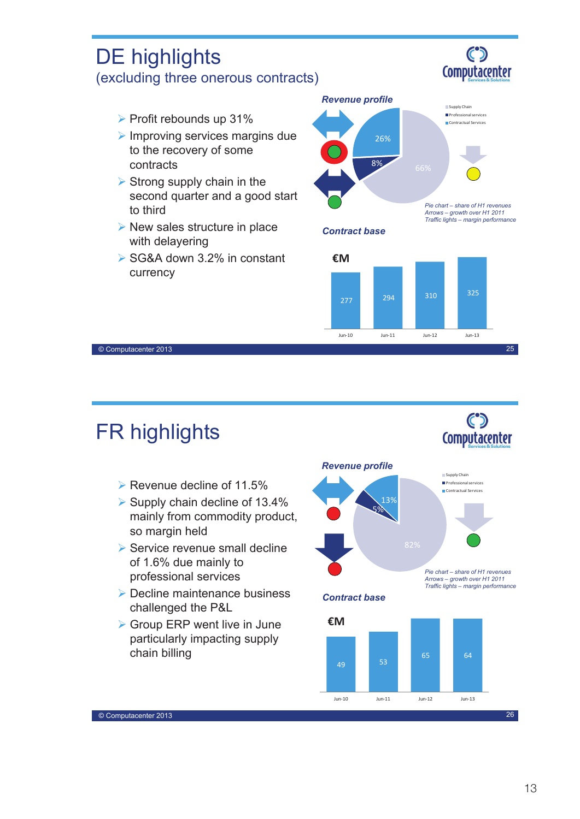

# FR highlights

© Computacenter 2013

DE highlights

- $\triangleright$  Revenue decline of 11.5%
- $\triangleright$  Supply chain decline of 13.4% mainly from commodity product, so margin held
- $\triangleright$  Service revenue small decline of 1.6% due mainly to professional services
- **▶ Decline maintenance business** challenged the P&L
- ▶ Group ERP went live in June particularly impacting supply chain billing



*Contract base*



25

 $\mathbf{C}$ Computacenter

 $\mathbf{C}$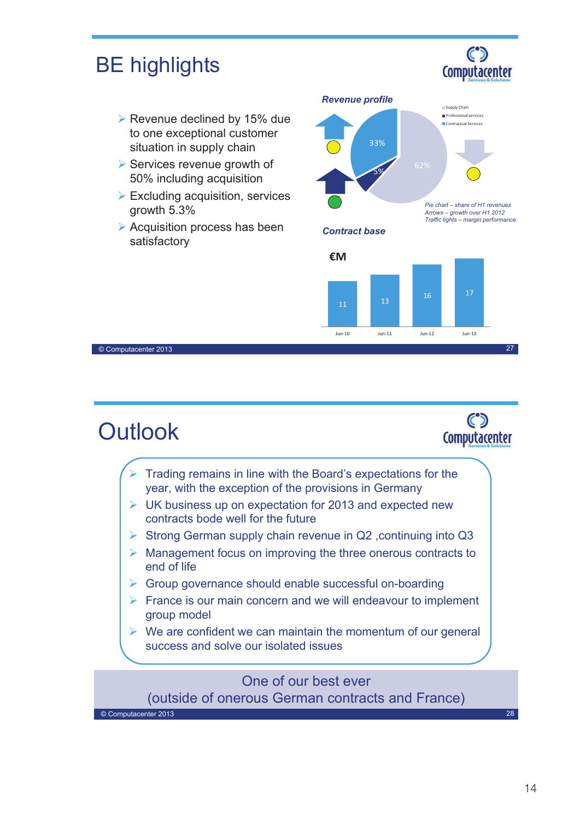

- $\triangleright$  France is our main concern and we will endeavour to implement group model
- $\triangleright$  We are confident we can maintain the momentum of our general success and solve our isolated issues

### One of our best ever

(outside of onerous German contracts and France)

© Computacenter 2013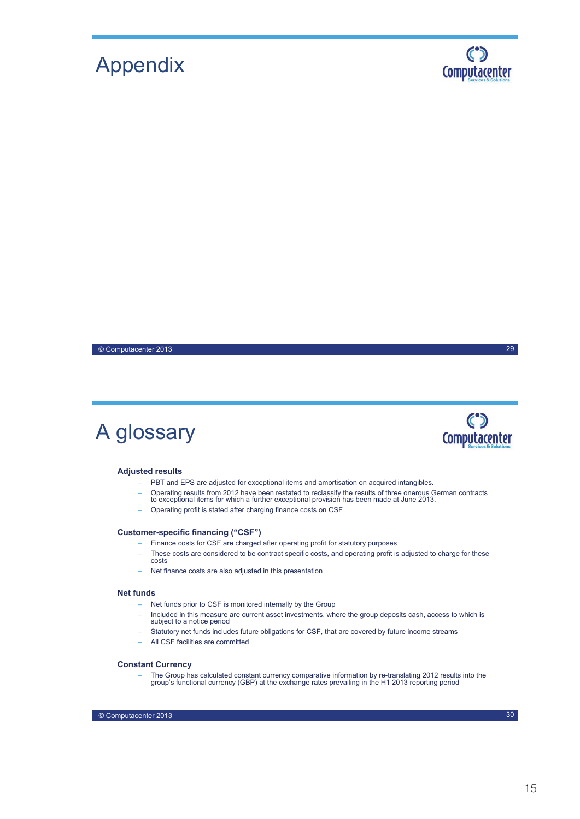# Appendix



29

 $\mathbf{C}$ **Computacenter** 

© Computacenter 2013

# A glossary

#### **Adjusted results**

- PBT and EPS are adjusted for exceptional items and amortisation on acquired intangibles.
- Operating results from 2012 have been restated to reclassify the results of three onerous German contracts to exceptional items for which a further exceptional provision has been made at June 2013.
- Operating profit is stated after charging finance costs on CSF

#### **Customer-specific financing ("CSF")**

- Finance costs for CSF are charged after operating profit for statutory purposes
- These costs are considered to be contract specific costs, and operating profit is adjusted to charge for these costs
- Net finance costs are also adjusted in this presentation

#### **Net funds**

- Net funds prior to CSF is monitored internally by the Group
- Included in this measure are current asset investments, where the group deposits cash, access to which is subject to a notice period
- Statutory net funds includes future obligations for CSF, that are covered by future income streams
- All CSF facilities are committed

#### **Constant Currency**

– The Group has calculated constant currency comparative information by re-translating 2012 results into the group's functional currency (GBP) at the exchange rates prevailing in the H1 2013 reporting period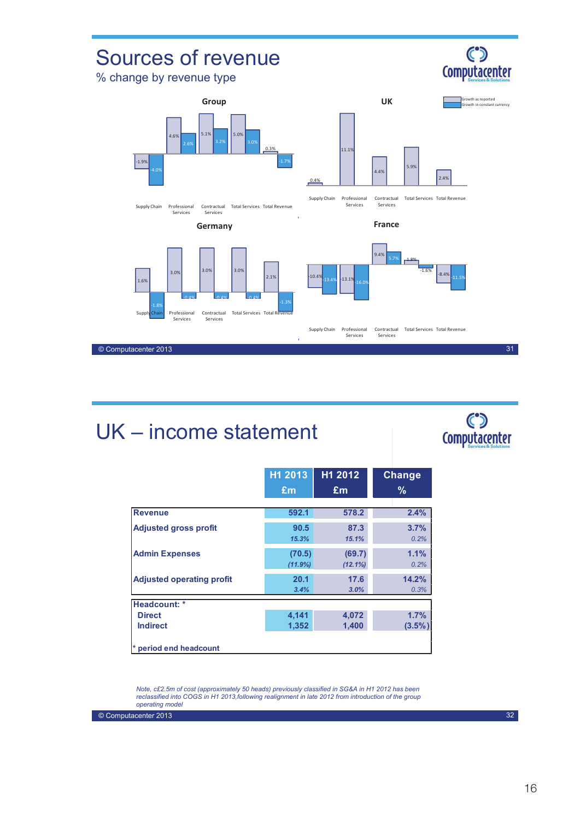

# UK – income statement



|                                  | H1 2013           | H1 2012              | <b>Change</b>     |
|----------------------------------|-------------------|----------------------|-------------------|
|                                  | Em                | Em                   | $\%$              |
| <b>Revenue</b>                   | 592.1             | 578.2                | 2.4%              |
| <b>Adjusted gross profit</b>     | 90.5<br>15.3%     | 87.3<br>15.1%        | 3.7%<br>0.2%      |
| <b>Admin Expenses</b>            | (70.5)<br>(11.9%) | (69.7)<br>$(12.1\%)$ | 1.1%<br>0.2%      |
| <b>Adjusted operating profit</b> | 20.1<br>3.4%      | 17.6<br>3.0%         | 14.2%<br>0.3%     |
| Headcount: *                     |                   |                      |                   |
| <b>Direct</b><br><b>Indirect</b> | 4,141<br>1,352    | 4,072<br>1,400       | 1.7%<br>$(3.5\%)$ |
| * period end headcount           |                   |                      |                   |

*Note, c£2.5m of cost (approximately 50 heads) previously classified in SG&A in H1 2012 has been reclassified into COGS in H1 2013,following realignment in late 2012 from introduction of the group operating model*

© Computacenter 2013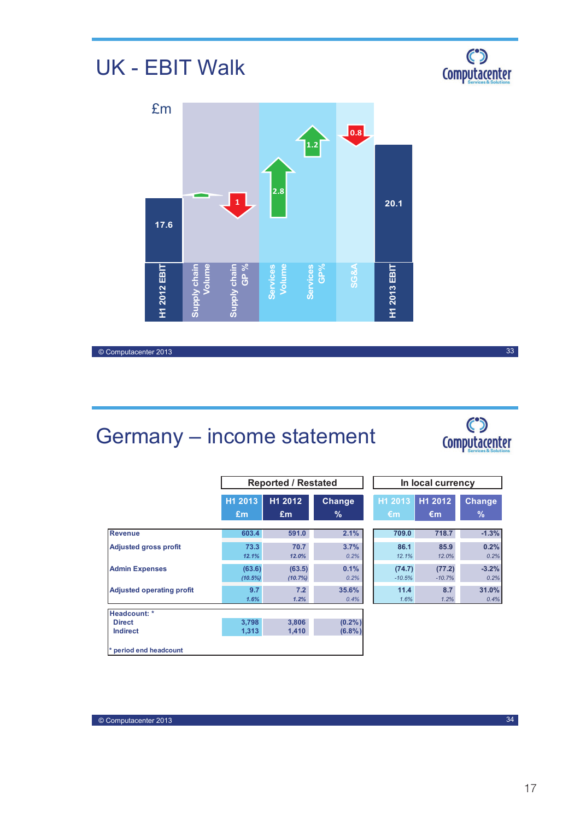# UK - EBIT Walk





© Computacenter 2013

# Germany – income statement

| <b>Computacenter</b> |
|----------------------|

|                                  |                   | <b>Reported / Restated</b> |                        | In local currency  |                    |                    |
|----------------------------------|-------------------|----------------------------|------------------------|--------------------|--------------------|--------------------|
|                                  | H1 2013<br>£m     | H1 2012<br>Em              | Change<br>$\%$         | H1 2013<br>€m      | H1 2012<br>€m      | <b>Change</b><br>% |
| <b>Revenue</b>                   | 603.4             | 591.0                      | 2.1%                   | 709.0              | 718.7              | $-1.3%$            |
| <b>Adjusted gross profit</b>     | 73.3<br>12.1%     | 70.7<br>12.0%              | 3.7%<br>0.2%           | 86.1<br>12.1%      | 85.9<br>12.0%      | 0.2%<br>0.2%       |
| <b>Admin Expenses</b>            | (63.6)<br>(10.5%) | (63.5)<br>(10.7%)          | 0.1%<br>0.2%           | (74.7)<br>$-10.5%$ | (77.2)<br>$-10.7%$ | $-3.2%$<br>0.2%    |
| <b>Adjusted operating profit</b> | 9.7<br>1.6%       | 7.2<br>1.2%                | 35.6%<br>0.4%          | 11.4<br>1.6%       | 8.7<br>1.2%        | 31.0%<br>0.4%      |
| Headcount: *                     |                   |                            |                        |                    |                    |                    |
| <b>Direct</b><br><b>Indirect</b> | 3,798<br>1,313    | 3.806<br>1,410             | $(0.2\%)$<br>$(6.8\%)$ |                    |                    |                    |
| * period end headcount           |                   |                            |                        |                    |                    |                    |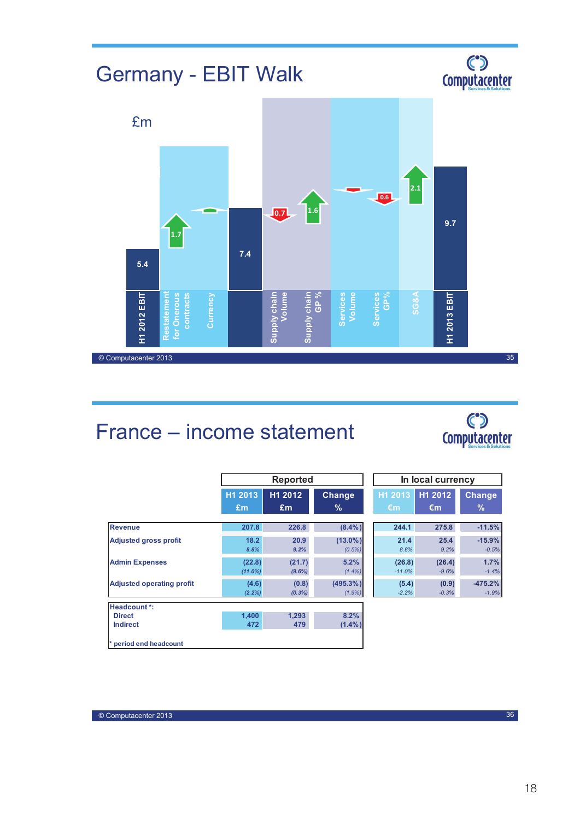# Germany - EBIT Walk





# France – income statement



|                                  |                      | <b>Reported</b>     |                          | In local currency       |                   |                       |
|----------------------------------|----------------------|---------------------|--------------------------|-------------------------|-------------------|-----------------------|
|                                  | H1 2013<br>£m        | H1 2012<br>Em       | <b>Change</b><br>%       | H1 2013<br>$\epsilon$ m | H1 2012<br>€m     | <b>Change</b><br>$\%$ |
| <b>Revenue</b>                   | 207.8                | 226.8               | $(8.4\%)$                | 244.1                   | 275.8             | $-11.5%$              |
| <b>Adjusted gross profit</b>     | 18.2<br>8.8%         | 20.9<br>9.2%        | $(13.0\%)$<br>$(0.5\%)$  | 21.4<br>8.8%            | 25.4<br>9.2%      | $-15.9%$<br>$-0.5%$   |
| <b>Admin Expenses</b>            | (22.8)<br>$(11.0\%)$ | (21.7)<br>$(9.6\%)$ | 5.2%<br>$(1.4\%)$        | (26.8)<br>$-11.0%$      | (26.4)<br>$-9.6%$ | 1.7%<br>$-1.4%$       |
| <b>Adjusted operating profit</b> | (4.6)<br>(2.2%)      | (0.8)<br>$(0.3\%)$  | $(495.3\%)$<br>$(1.9\%)$ | (5.4)<br>$-2.2%$        | (0.9)<br>$-0.3%$  | $-475.2%$<br>$-1.9%$  |
| Headcount *:                     |                      |                     |                          |                         |                   |                       |
| <b>Direct</b><br><b>Indirect</b> | 1.400<br>472         | 1.293<br>479        | 8.2%<br>$(1.4\%)$        |                         |                   |                       |
| * period end headcount           |                      |                     |                          |                         |                   |                       |

| In local currency |         |               |  |  |
|-------------------|---------|---------------|--|--|
| H1 2013           | H1 2012 | <b>Change</b> |  |  |
| €m                | €m      | $\frac{9}{6}$ |  |  |
|                   |         |               |  |  |
| 244.1             | 275.8   | $-11.5%$      |  |  |
| 21.4              | 25.4    | $-15.9%$      |  |  |
| 8.8%              | 9.2%    | $-0.5%$       |  |  |
| (26.8)            | (26.4)  | 1.7%          |  |  |
| $-11.0%$          | $-9.6%$ | $-1.4%$       |  |  |
| (5.4)             | (0.9)   | $-475.2%$     |  |  |
| $-2.2%$           | $-0.3%$ | $-1.9%$       |  |  |

© Computacenter 2013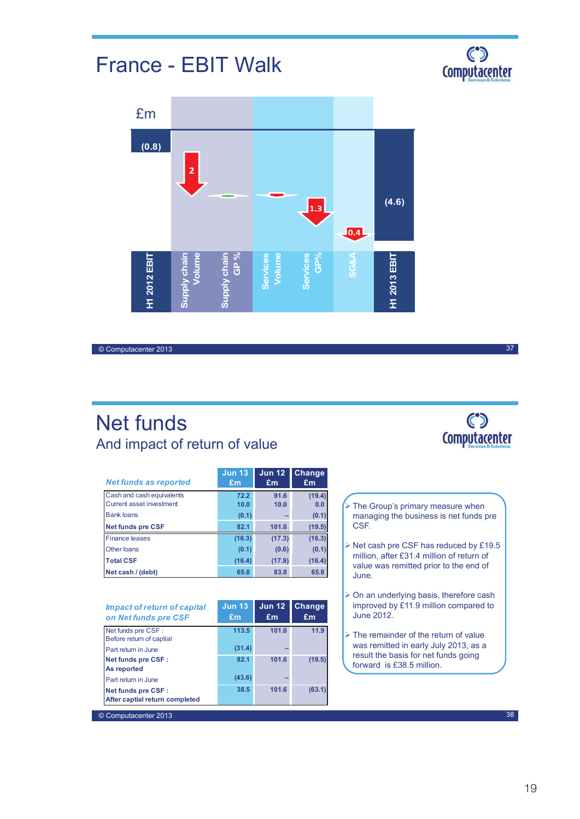# France - EBIT Walk

38



#### © Computacenter 2013

© Computacenter 2013

Net funds And impact of return of value

| <b>Net funds as reported</b>    | <b>Jun 13</b><br>£m | <b>Jun 12</b><br>£m | <b>Change</b><br>£m |
|---------------------------------|---------------------|---------------------|---------------------|
|                                 |                     |                     |                     |
| Cash and cash equivalents       | 72.2                | 91.6                | (19.4)              |
| <b>Current asset investment</b> | 10.0                | 10.0                | 0.0                 |
| <b>Bank loans</b>               | (0.1)               |                     | (0.1)               |
| <b>Net funds pre CSF</b>        | 82.1                | 101.6               | (19.5)              |
| <b>Finance leases</b>           | (16.3)              | (17.3)              | (16.3)              |
| Other Ioans                     | (0.1)               | (0.6)               | (0.1)               |
| <b>Total CSF</b>                | (16.4)              | (17.9)              | (16.4)              |
| Net cash / (debt)               | 65.8                | 83.8                | 65.8                |

| Impact of return of capital<br>on Net funds pre CSF         | <b>Jun 13</b><br>£m | <b>Jun 12</b><br>Em | <b>Change</b><br>Em |
|-------------------------------------------------------------|---------------------|---------------------|---------------------|
| Net funds pre CSF :<br>Before return of captial             | 113.5               | 101.6               | 11.9                |
| Part return in June                                         | (31.4)              |                     |                     |
| <b>Net funds pre CSF:</b><br>As reported                    | 82.1                | 101.6               | (19.5)              |
| Part return in June                                         | (43.6)              |                     |                     |
| <b>Net funds pre CSF:</b><br>After captial return completed | 38.5                | 101.6               | (63.1)              |



- $\triangleright$  The Group's primary measure when managing the business is net funds pre CSF.
- $\triangleright$  Net cash pre CSF has reduced by £19.5 million, after £31.4 million of return of value was remitted prior to the end of June.
- $\triangleright$  On an underlying basis, therefore cash improved by £11.9 million compared to June 2012.
- $\triangleright$  The remainder of the return of value was remitted in early July 2013, as a result the basis for net funds going forward is £38.5 million.